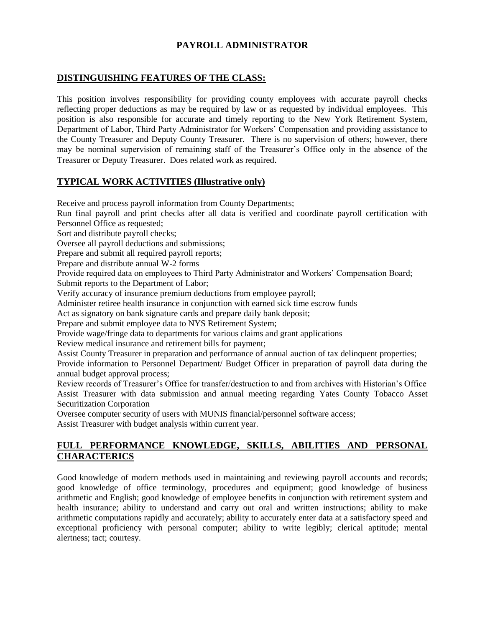## **PAYROLL ADMINISTRATOR**

#### **DISTINGUISHING FEATURES OF THE CLASS:**

This position involves responsibility for providing county employees with accurate payroll checks reflecting proper deductions as may be required by law or as requested by individual employees. This position is also responsible for accurate and timely reporting to the New York Retirement System, Department of Labor, Third Party Administrator for Workers' Compensation and providing assistance to the County Treasurer and Deputy County Treasurer. There is no supervision of others; however, there may be nominal supervision of remaining staff of the Treasurer's Office only in the absence of the Treasurer or Deputy Treasurer. Does related work as required.

## **TYPICAL WORK ACTIVITIES (Illustrative only)**

Receive and process payroll information from County Departments;

Run final payroll and print checks after all data is verified and coordinate payroll certification with Personnel Office as requested;

Sort and distribute payroll checks;

Oversee all payroll deductions and submissions;

Prepare and submit all required payroll reports;

Prepare and distribute annual W-2 forms

Provide required data on employees to Third Party Administrator and Workers' Compensation Board; Submit reports to the Department of Labor;

Verify accuracy of insurance premium deductions from employee payroll;

Administer retiree health insurance in conjunction with earned sick time escrow funds

Act as signatory on bank signature cards and prepare daily bank deposit;

Prepare and submit employee data to NYS Retirement System;

Provide wage/fringe data to departments for various claims and grant applications

Review medical insurance and retirement bills for payment;

Assist County Treasurer in preparation and performance of annual auction of tax delinquent properties;

Provide information to Personnel Department/ Budget Officer in preparation of payroll data during the annual budget approval process;

Review records of Treasurer's Office for transfer/destruction to and from archives with Historian's Office Assist Treasurer with data submission and annual meeting regarding Yates County Tobacco Asset Securitization Corporation

Oversee computer security of users with MUNIS financial/personnel software access; Assist Treasurer with budget analysis within current year.

# **FULL PERFORMANCE KNOWLEDGE, SKILLS, ABILITIES AND PERSONAL CHARACTERICS**

Good knowledge of modern methods used in maintaining and reviewing payroll accounts and records; good knowledge of office terminology, procedures and equipment; good knowledge of business arithmetic and English; good knowledge of employee benefits in conjunction with retirement system and health insurance; ability to understand and carry out oral and written instructions; ability to make arithmetic computations rapidly and accurately; ability to accurately enter data at a satisfactory speed and exceptional proficiency with personal computer; ability to write legibly; clerical aptitude; mental alertness; tact; courtesy.